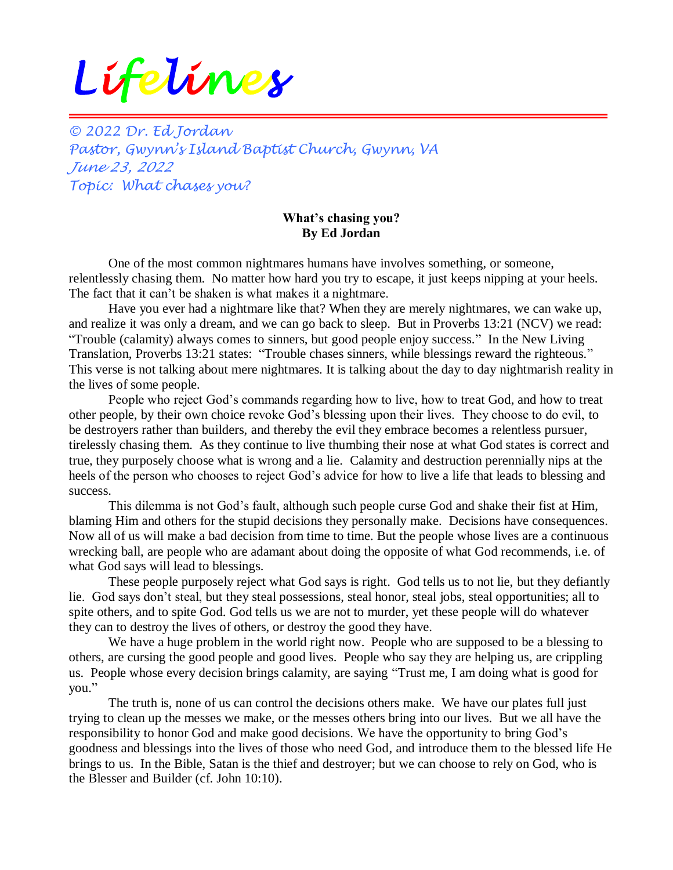## *Lifelines*

*© 2022 Dr. Ed Jordan Pastor, Gwynn's Island Baptist Church, Gwynn, VA June 23, 2022 Topic: What chases you?*

## **What's chasing you? By Ed Jordan**

One of the most common nightmares humans have involves something, or someone, relentlessly chasing them. No matter how hard you try to escape, it just keeps nipping at your heels. The fact that it can't be shaken is what makes it a nightmare.

Have you ever had a nightmare like that? When they are merely nightmares, we can wake up, and realize it was only a dream, and we can go back to sleep. But in Proverbs 13:21 (NCV) we read: "Trouble (calamity) always comes to sinners, but good people enjoy success." In the New Living Translation, Proverbs 13:21 states: "Trouble chases sinners, while blessings reward the righteous." This verse is not talking about mere nightmares. It is talking about the day to day nightmarish reality in the lives of some people.

People who reject God's commands regarding how to live, how to treat God, and how to treat other people, by their own choice revoke God's blessing upon their lives. They choose to do evil, to be destroyers rather than builders, and thereby the evil they embrace becomes a relentless pursuer, tirelessly chasing them. As they continue to live thumbing their nose at what God states is correct and true, they purposely choose what is wrong and a lie. Calamity and destruction perennially nips at the heels of the person who chooses to reject God's advice for how to live a life that leads to blessing and success.

This dilemma is not God's fault, although such people curse God and shake their fist at Him, blaming Him and others for the stupid decisions they personally make. Decisions have consequences. Now all of us will make a bad decision from time to time. But the people whose lives are a continuous wrecking ball, are people who are adamant about doing the opposite of what God recommends, i.e. of what God says will lead to blessings.

These people purposely reject what God says is right. God tells us to not lie, but they defiantly lie. God says don't steal, but they steal possessions, steal honor, steal jobs, steal opportunities; all to spite others, and to spite God. God tells us we are not to murder, yet these people will do whatever they can to destroy the lives of others, or destroy the good they have.

We have a huge problem in the world right now. People who are supposed to be a blessing to others, are cursing the good people and good lives. People who say they are helping us, are crippling us. People whose every decision brings calamity, are saying "Trust me, I am doing what is good for you."

The truth is, none of us can control the decisions others make. We have our plates full just trying to clean up the messes we make, or the messes others bring into our lives. But we all have the responsibility to honor God and make good decisions. We have the opportunity to bring God's goodness and blessings into the lives of those who need God, and introduce them to the blessed life He brings to us. In the Bible, Satan is the thief and destroyer; but we can choose to rely on God, who is the Blesser and Builder (cf. John 10:10).